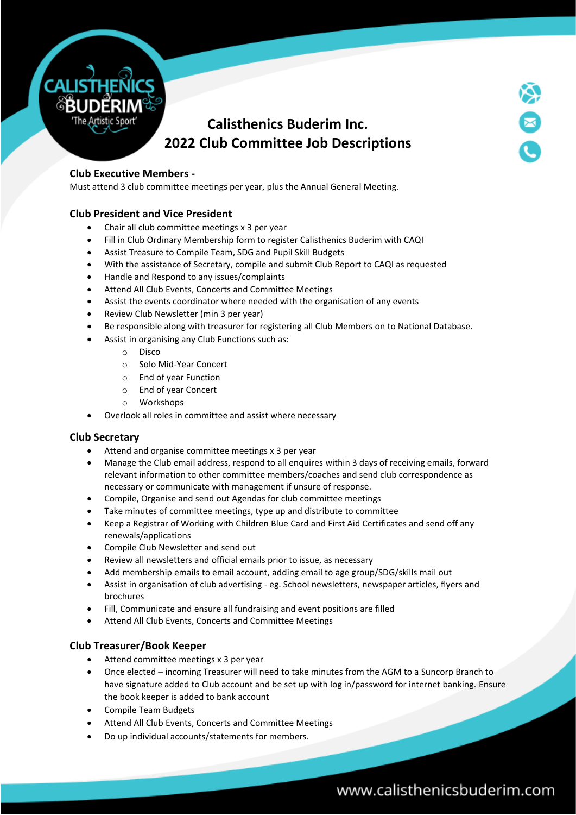

## **Calisthenics Buderim Inc. 2022 Club Committee Job Descriptions**

### **Club Executive Members -**

Must attend 3 club committee meetings per year, plus the Annual General Meeting.

### **Club President and Vice President**

- Chair all club committee meetings x 3 per year
- Fill in Club Ordinary Membership form to register Calisthenics Buderim with CAQI
- Assist Treasure to Compile Team, SDG and Pupil Skill Budgets
- With the assistance of Secretary, compile and submit Club Report to CAQI as requested
- Handle and Respond to any issues/complaints
- Attend All Club Events, Concerts and Committee Meetings
- Assist the events coordinator where needed with the organisation of any events
- Review Club Newsletter (min 3 per year)
- Be responsible along with treasurer for registering all Club Members on to National Database.
- Assist in organising any Club Functions such as:
	- o Disco
	- o Solo Mid-Year Concert
	- o End of year Function
	- o End of year Concert
	- o Workshops
- Overlook all roles in committee and assist where necessary

### **Club Secretary**

- Attend and organise committee meetings x 3 per year
- Manage the Club email address, respond to all enquires within 3 days of receiving emails, forward relevant information to other committee members/coaches and send club correspondence as necessary or communicate with management if unsure of response.
- Compile, Organise and send out Agendas for club committee meetings
- Take minutes of committee meetings, type up and distribute to committee
- Keep a Registrar of Working with Children Blue Card and First Aid Certificates and send off any renewals/applications
- Compile Club Newsletter and send out
- Review all newsletters and official emails prior to issue, as necessary
- Add membership emails to email account, adding email to age group/SDG/skills mail out
- Assist in organisation of club advertising eg. School newsletters, newspaper articles, flyers and brochures
- Fill, Communicate and ensure all fundraising and event positions are filled
- Attend All Club Events, Concerts and Committee Meetings

### **Club Treasurer/Book Keeper**

- Attend committee meetings x 3 per year
- Once elected incoming Treasurer will need to take minutes from the AGM to a Suncorp Branch to have signature added to Club account and be set up with log in/password for internet banking. Ensure the book keeper is added to bank account
- Compile Team Budgets
- Attend All Club Events, Concerts and Committee Meetings
- Do up individual accounts/statements for members.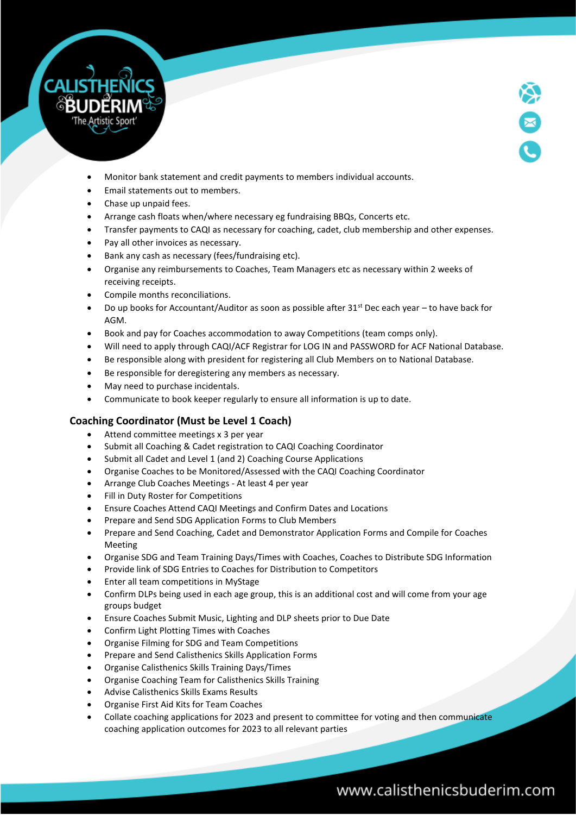



- Monitor bank statement and credit payments to members individual accounts.
- Email statements out to members.
- Chase up unpaid fees.
- Arrange cash floats when/where necessary eg fundraising BBQs, Concerts etc.
- Transfer payments to CAQI as necessary for coaching, cadet, club membership and other expenses.
- Pay all other invoices as necessary.
- Bank any cash as necessary (fees/fundraising etc).
- Organise any reimbursements to Coaches, Team Managers etc as necessary within 2 weeks of receiving receipts.
- Compile months reconciliations.
- Do up books for Accountant/Auditor as soon as possible after  $31<sup>st</sup>$  Dec each year to have back for AGM.
- Book and pay for Coaches accommodation to away Competitions (team comps only).
- Will need to apply through CAQI/ACF Registrar for LOG IN and PASSWORD for ACF National Database.
- Be responsible along with president for registering all Club Members on to National Database.
- Be responsible for deregistering any members as necessary.
- May need to purchase incidentals.
- Communicate to book keeper regularly to ensure all information is up to date.

## **Coaching Coordinator (Must be Level 1 Coach)**

- Attend committee meetings x 3 per year
- Submit all Coaching & Cadet registration to CAQI Coaching Coordinator
- Submit all Cadet and Level 1 (and 2) Coaching Course Applications
- Organise Coaches to be Monitored/Assessed with the CAQI Coaching Coordinator
- Arrange Club Coaches Meetings At least 4 per year
- Fill in Duty Roster for Competitions
- Ensure Coaches Attend CAQI Meetings and Confirm Dates and Locations
- Prepare and Send SDG Application Forms to Club Members
- Prepare and Send Coaching, Cadet and Demonstrator Application Forms and Compile for Coaches Meeting
- Organise SDG and Team Training Days/Times with Coaches, Coaches to Distribute SDG Information
- Provide link of SDG Entries to Coaches for Distribution to Competitors
- Enter all team competitions in MyStage
- Confirm DLPs being used in each age group, this is an additional cost and will come from your age groups budget
- Ensure Coaches Submit Music, Lighting and DLP sheets prior to Due Date
- Confirm Light Plotting Times with Coaches
- Organise Filming for SDG and Team Competitions
- Prepare and Send Calisthenics Skills Application Forms
- Organise Calisthenics Skills Training Days/Times
- Organise Coaching Team for Calisthenics Skills Training
- Advise Calisthenics Skills Exams Results
- Organise First Aid Kits for Team Coaches
- Collate coaching applications for 2023 and present to committee for voting and then communicate coaching application outcomes for 2023 to all relevant parties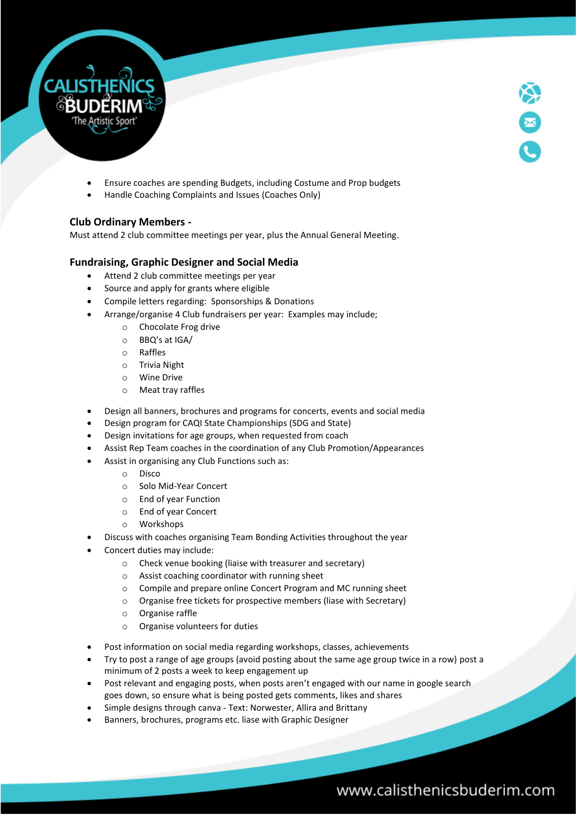

- Ensure coaches are spending Budgets, including Costume and Prop budgets
- Handle Coaching Complaints and Issues (Coaches Only)

### **Club Ordinary Members -**

Must attend 2 club committee meetings per year, plus the Annual General Meeting.

## **Fundraising, Graphic Designer and Social Media**

- Attend 2 club committee meetings per year
- Source and apply for grants where eligible
- Compile letters regarding: Sponsorships & Donations
- Arrange/organise 4 Club fundraisers per year: Examples may include;
	- o Chocolate Frog drive
	- o BBQ's at IGA/
	- o Raffles
	- o Trivia Night
	- o Wine Drive
	- o Meat tray raffles
- Design all banners, brochures and programs for concerts, events and social media
- Design program for CAQI State Championships (SDG and State)
- Design invitations for age groups, when requested from coach
- Assist Rep Team coaches in the coordination of any Club Promotion/Appearances
- Assist in organising any Club Functions such as:
	- o Disco
	- o Solo Mid-Year Concert
	- o End of year Function
	- o End of year Concert
	- o Workshops
- Discuss with coaches organising Team Bonding Activities throughout the year
- Concert duties may include:
	- o Check venue booking (liaise with treasurer and secretary)
	- o Assist coaching coordinator with running sheet
	- o Compile and prepare online Concert Program and MC running sheet
	- o Organise free tickets for prospective members (liase with Secretary)
	- o Organise raffle
	- o Organise volunteers for duties
- Post information on social media regarding workshops, classes, achievements
- Try to post a range of age groups (avoid posting about the same age group twice in a row) post a minimum of 2 posts a week to keep engagement up
- Post relevant and engaging posts, when posts aren't engaged with our name in google search goes down, so ensure what is being posted gets comments, likes and shares
- Simple designs through canva Text: Norwester, Allira and Brittany
- Banners, brochures, programs etc. liase with Graphic Designer